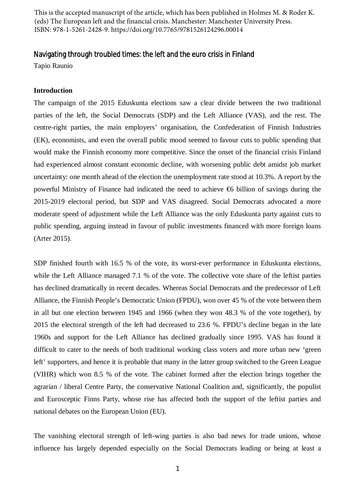This is the accepted manuscript of the article, which has been published in Holmes M. & Roder K. (eds) The European left and the financial crisis. Manchester: Manchester University Press. ISBN: 978-1-5261-2428-9. https://doi.org/10.7765/9781526124296.00014

# Navigating through troubled times: the left and the euro crisis in Finland

Tapio Raunio

## **Introduction**

The campaign of the 2015 Eduskunta elections saw a clear divide between the two traditional parties of the left, the Social Democrats (SDP) and the Left Alliance (VAS), and the rest. The centre-right parties, the main employers' organisation, the Confederation of Finnish Industries (EK), economists, and even the overall public mood seemed to favour cuts to public spending that would make the Finnish economy more competitive. Since the onset of the financial crisis Finland had experienced almost constant economic decline, with worsening public debt amidst job market uncertainty: one month ahead of the election the unemployment rate stood at 10.3%. A report by the powerful Ministry of Finance had indicated the need to achieve  $\Theta$  billion of savings during the 2015-2019 electoral period, but SDP and VAS disagreed. Social Democrats advocated a more moderate speed of adjustment while the Left Alliance was the only Eduskunta party against cuts to public spending, arguing instead in favour of public investments financed with more foreign loans (Arter 2015).

SDP finished fourth with 16.5 % of the vote, its worst-ever performance in Eduskunta elections, while the Left Alliance managed 7.1 % of the vote. The collective vote share of the leftist parties has declined dramatically in recent decades. Whereas Social Democrats and the predecessor of Left Alliance, the Finnish People's Democratic Union (FPDU), won over 45 % of the vote between them in all but one election between 1945 and 1966 (when they won 48.3 % of the vote together), by 2015 the electoral strength of the left had decreased to 23.6 %. FPDU's decline began in the late 1960s and support for the Left Alliance has declined gradually since 1995. VAS has found it difficult to cater to the needs of both traditional working class voters and more urban new 'green left' supporters, and hence it is probable that many in the latter group switched to the Green League (VIHR) which won 8.5 % of the vote. The cabinet formed after the election brings together the agrarian / liberal Centre Party, the conservative National Coalition and, significantly, the populist and Eurosceptic Finns Party, whose rise has affected both the support of the leftist parties and national debates on the European Union (EU).

The vanishing electoral strength of left-wing parties is also bad news for trade unions, whose influence has largely depended especially on the Social Democrats leading or being at least a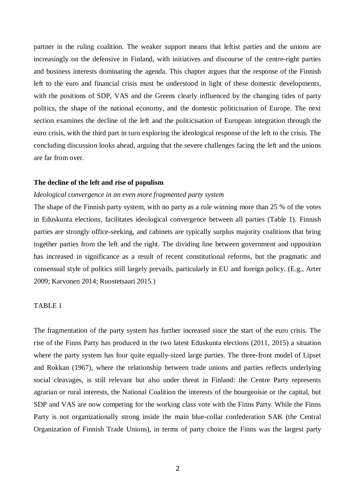partner in the ruling coalition. The weaker support means that leftist parties and the unions are increasingly on the defensive in Finland, with initiatives and discourse of the centre-right parties and business interests dominating the agenda. This chapter argues that the response of the Finnish left to the euro and financial crisis must be understood in light of these domestic developments, with the positions of SDP, VAS and the Greens clearly influenced by the changing tides of party politics, the shape of the national economy, and the domestic politicisation of Europe. The next section examines the decline of the left and the politicisation of European integration through the euro crisis, with the third part in turn exploring the ideological response of the left to the crisis. The concluding discussion looks ahead, arguing that the severe challenges facing the left and the unions are far from over.

#### **The decline of the left and rise of populism**

## *Ideological convergence in an even more fragmented party system*

The shape of the Finnish party system, with no party as a rule winning more than 25 % of the votes in Eduskunta elections, facilitates ideological convergence between all parties (Table 1). Finnish parties are strongly office-seeking, and cabinets are typically surplus majority coalitions that bring together parties from the left and the right. The dividing line between government and opposition has increased in significance as a result of recent constitutional reforms, but the pragmatic and consensual style of politics still largely prevails, particularly in EU and foreign policy. (E.g., Arter 2009; Karvonen 2014; Ruostetsaari 2015.)

# TABLE 1

The fragmentation of the party system has further increased since the start of the euro crisis. The rise of the Finns Party has produced in the two latest Eduskunta elections (2011, 2015) a situation where the party system has four quite equally-sized large parties. The three-front model of Lipset and Rokkan (1967), where the relationship between trade unions and parties reflects underlying social cleavages, is still relevant but also under threat in Finland: the Centre Party represents agrarian or rural interests, the National Coalition the interests of the bourgeoisie or the capital, but SDP and VAS are now competing for the working class vote with the Finns Party. While the Finns Party is not organizationally strong inside the main blue-collar confederation SAK (the Central Organization of Finnish Trade Unions), in terms of party choice the Finns was the largest party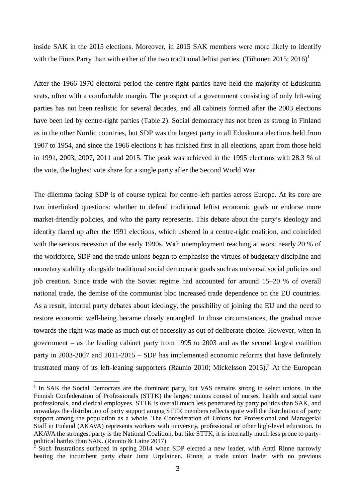inside SAK in the 2015 elections. Moreover, in 2015 SAK members were more likely to identify with the Finns Party than with either of the two traditional leftist parties. (Tiihonen 20[1](#page-2-0)5: 2016)<sup>1</sup>

After the 1966-1970 electoral period the centre-right parties have held the majority of Eduskunta seats, often with a comfortable margin. The prospect of a government consisting of only left-wing parties has not been realistic for several decades, and all cabinets formed after the 2003 elections have been led by centre-right parties (Table 2). Social democracy has not been as strong in Finland as in the other Nordic countries, but SDP was the largest party in all Eduskunta elections held from 1907 to 1954, and since the 1966 elections it has finished first in all elections, apart from those held in 1991, 2003, 2007, 2011 and 2015. The peak was achieved in the 1995 elections with 28.3 % of the vote, the highest vote share for a single party after the Second World War.

The dilemma facing SDP is of course typical for centre-left parties across Europe. At its core are two interlinked questions: whether to defend traditional leftist economic goals or endorse more market-friendly policies, and who the party represents. This debate about the party's ideology and identity flared up after the 1991 elections, which ushered in a centre-right coalition, and coincided with the serious recession of the early 1990s. With unemployment reaching at worst nearly 20 % of the workforce, SDP and the trade unions began to emphasise the virtues of budgetary discipline and monetary stability alongside traditional social democratic goals such as universal social policies and job creation. Since trade with the Soviet regime had accounted for around 15–20 % of overall national trade, the demise of the communist bloc increased trade dependence on the EU countries. As a result, internal party debates about ideology, the possibility of joining the EU and the need to restore economic well-being became closely entangled. In those circumstances, the gradual move towards the right was made as much out of necessity as out of deliberate choice. However, when in government – as the leading cabinet party from 1995 to 2003 and as the second largest coalition party in 2003-2007 and 2011-2015 – SDP has implemented economic reforms that have definitely frustrated many of its left-leaning supporters (Raunio [2](#page-2-1)010; Mickelsson 2015).<sup>2</sup> At the European

<span id="page-2-0"></span><sup>&</sup>lt;sup>1</sup> In SAK the Social Democrats are the dominant party, but VAS remains strong in select unions. In the Finnish Confederation of Professionals (STTK) the largest unions consist of nurses, health and social care professionals, and clerical employees. STTK is overall much less penetrated by party politics than SAK, and nowadays the distribution of party support among STTK members reflects quite well the distribution of party support among the population as a whole. The Confederation of Unions for Professional and Managerial Staff in Finland (AKAVA) represents workers with university, professional or other high-level education. In AKAVA the strongest party is the National Coalition, but like STTK, it is internally much less prone to partypolitical battles than SAK. (Raunio & Laine 2017)

<span id="page-2-1"></span> $\frac{1}{2}$  Such frustrations surfaced in spring 2014 when SDP elected a new leader, with Antti Rinne narrowly beating the incumbent party chair Jutta Urpilainen. Rinne, a trade union leader with no previous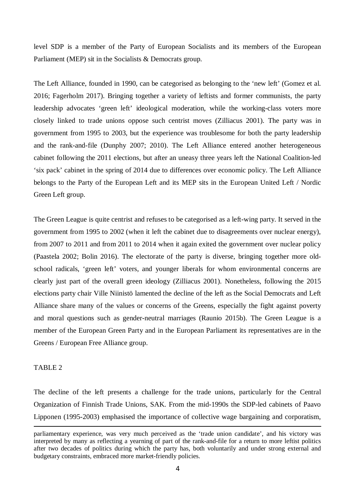level SDP is a member of the Party of European Socialists and its members of the European Parliament (MEP) sit in the Socialists & Democrats group.

The Left Alliance, founded in 1990, can be categorised as belonging to the 'new left' (Gomez et al. 2016; Fagerholm 2017). Bringing together a variety of leftists and former communists, the party leadership advocates 'green left' ideological moderation, while the working-class voters more closely linked to trade unions oppose such centrist moves (Zilliacus 2001). The party was in government from 1995 to 2003, but the experience was troublesome for both the party leadership and the rank-and-file (Dunphy 2007; 2010). The Left Alliance entered another heterogeneous cabinet following the 2011 elections, but after an uneasy three years left the National Coalition-led 'six pack' cabinet in the spring of 2014 due to differences over economic policy. The Left Alliance belongs to the Party of the European Left and its MEP sits in the European United Left / Nordic Green Left group.

The Green League is quite centrist and refuses to be categorised as a left-wing party. It served in the government from 1995 to 2002 (when it left the cabinet due to disagreements over nuclear energy), from 2007 to 2011 and from 2011 to 2014 when it again exited the government over nuclear policy (Paastela 2002; Bolin 2016). The electorate of the party is diverse, bringing together more oldschool radicals, 'green left' voters, and younger liberals for whom environmental concerns are clearly just part of the overall green ideology (Zilliacus 2001). Nonetheless, following the 2015 elections party chair Ville Niinistö lamented the decline of the left as the Social Democrats and Left Alliance share many of the values or concerns of the Greens, especially the fight against poverty and moral questions such as gender-neutral marriages (Raunio 2015b). The Green League is a member of the European Green Party and in the European Parliament its representatives are in the Greens / European Free Alliance group.

# TABLE 2

The decline of the left presents a challenge for the trade unions, particularly for the Central Organization of Finnish Trade Unions, SAK. From the mid-1990s the SDP-led cabinets of Paavo Lipponen (1995-2003) emphasised the importance of collective wage bargaining and corporatism,

parliamentary experience, was very much perceived as the 'trade union candidate', and his victory was interpreted by many as reflecting a yearning of part of the rank-and-file for a return to more leftist politics after two decades of politics during which the party has, both voluntarily and under strong external and budgetary constraints, embraced more market-friendly policies.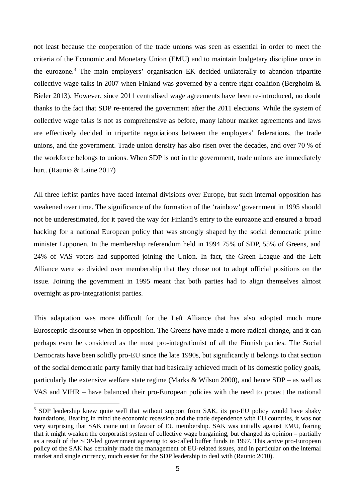not least because the cooperation of the trade unions was seen as essential in order to meet the criteria of the Economic and Monetary Union (EMU) and to maintain budgetary discipline once in the eurozone.<sup>[3](#page-4-0)</sup> The main employers' organisation EK decided unilaterally to abandon tripartite collective wage talks in 2007 when Finland was governed by a centre-right coalition (Bergholm & Bieler 2013). However, since 2011 centralised wage agreements have been re-introduced, no doubt thanks to the fact that SDP re-entered the government after the 2011 elections. While the system of collective wage talks is not as comprehensive as before, many labour market agreements and laws are effectively decided in tripartite negotiations between the employers' federations, the trade unions, and the government. Trade union density has also risen over the decades, and over 70 % of the workforce belongs to unions. When SDP is not in the government, trade unions are immediately hurt. (Raunio & Laine 2017)

All three leftist parties have faced internal divisions over Europe, but such internal opposition has weakened over time. The significance of the formation of the 'rainbow' government in 1995 should not be underestimated, for it paved the way for Finland's entry to the eurozone and ensured a broad backing for a national European policy that was strongly shaped by the social democratic prime minister Lipponen. In the membership referendum held in 1994 75% of SDP, 55% of Greens, and 24% of VAS voters had supported joining the Union. In fact, the Green League and the Left Alliance were so divided over membership that they chose not to adopt official positions on the issue. Joining the government in 1995 meant that both parties had to align themselves almost overnight as pro-integrationist parties.

This adaptation was more difficult for the Left Alliance that has also adopted much more Eurosceptic discourse when in opposition. The Greens have made a more radical change, and it can perhaps even be considered as the most pro-integrationist of all the Finnish parties. The Social Democrats have been solidly pro-EU since the late 1990s, but significantly it belongs to that section of the social democratic party family that had basically achieved much of its domestic policy goals, particularly the extensive welfare state regime (Marks & Wilson 2000), and hence SDP – as well as VAS and VIHR – have balanced their pro-European policies with the need to protect the national

<span id="page-4-0"></span><sup>&</sup>lt;sup>3</sup> SDP leadership knew quite well that without support from SAK, its pro-EU policy would have shaky foundations. Bearing in mind the economic recession and the trade dependence with EU countries, it was not very surprising that SAK came out in favour of EU membership. SAK was initially against EMU, fearing that it might weaken the corporatist system of collective wage bargaining, but changed its opinion – partially as a result of the SDP-led government agreeing to so-called buffer funds in 1997. This active pro-European policy of the SAK has certainly made the management of EU-related issues, and in particular on the internal market and single currency, much easier for the SDP leadership to deal with (Raunio 2010).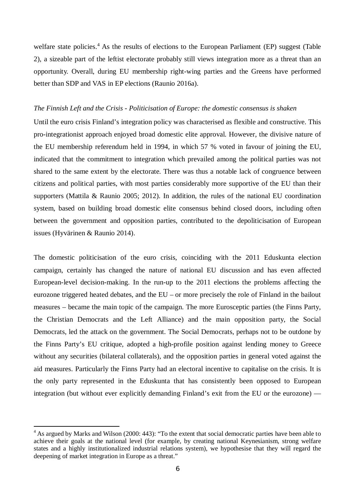welfare state policies.<sup>[4](#page-5-0)</sup> As the results of elections to the European Parliament (EP) suggest (Table 2), a sizeable part of the leftist electorate probably still views integration more as a threat than an opportunity. Overall, during EU membership right-wing parties and the Greens have performed better than SDP and VAS in EP elections (Raunio 2016a).

#### *The Finnish Left and the Crisis - Politicisation of Europe: the domestic consensus is shaken*

Until the euro crisis Finland's integration policy was characterised as flexible and constructive. This pro-integrationist approach enjoyed broad domestic elite approval. However, the divisive nature of the EU membership referendum held in 1994, in which 57 % voted in favour of joining the EU, indicated that the commitment to integration which prevailed among the political parties was not shared to the same extent by the electorate. There was thus a notable lack of congruence between citizens and political parties, with most parties considerably more supportive of the EU than their supporters (Mattila & Raunio 2005; 2012). In addition, the rules of the national EU coordination system, based on building broad domestic elite consensus behind closed doors, including often between the government and opposition parties, contributed to the depoliticisation of European issues (Hyvärinen & Raunio 2014).

The domestic politicisation of the euro crisis, coinciding with the 2011 Eduskunta election campaign, certainly has changed the nature of national EU discussion and has even affected European-level decision-making. In the run-up to the 2011 elections the problems affecting the eurozone triggered heated debates, and the EU – or more precisely the role of Finland in the bailout measures – became the main topic of the campaign. The more Eurosceptic parties (the Finns Party, the Christian Democrats and the Left Alliance) and the main opposition party, the Social Democrats, led the attack on the government. The Social Democrats, perhaps not to be outdone by the Finns Party's EU critique, adopted a high-profile position against lending money to Greece without any securities (bilateral collaterals), and the opposition parties in general voted against the aid measures. Particularly the Finns Party had an electoral incentive to capitalise on the crisis. It is the only party represented in the Eduskunta that has consistently been opposed to European integration (but without ever explicitly demanding Finland's exit from the EU or the eurozone) —

<span id="page-5-0"></span><sup>&</sup>lt;sup>4</sup> As argued by Marks and Wilson (2000: 443): "To the extent that social democratic parties have been able to achieve their goals at the national level (for example, by creating national Keynesianism, strong welfare states and a highly institutionalized industrial relations system), we hypothesise that they will regard the deepening of market integration in Europe as a threat."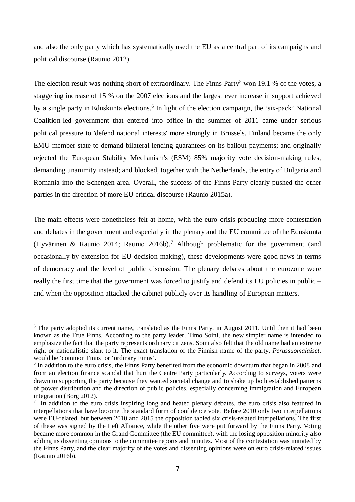and also the only party which has systematically used the EU as a central part of its campaigns and political discourse (Raunio 2012).

The election result was nothing short of extraordinary. The Finns Party<sup>[5](#page-6-0)</sup> won 19.1 % of the votes, a staggering increase of 15 % on the 2007 elections and the largest ever increase in support achieved by a single party in Eduskunta elections.<sup>[6](#page-6-1)</sup> In light of the election campaign, the 'six-pack' National Coalition-led government that entered into office in the summer of 2011 came under serious political pressure to 'defend national interests' more strongly in Brussels. Finland became the only EMU member state to demand bilateral lending guarantees on its bailout payments; and originally rejected the European Stability Mechanism's (ESM) 85% majority vote decision-making rules, demanding unanimity instead; and blocked, together with the Netherlands, the entry of Bulgaria and Romania into the Schengen area. Overall, the success of the Finns Party clearly pushed the other parties in the direction of more EU critical discourse (Raunio 2015a).

The main effects were nonetheless felt at home, with the euro crisis producing more contestation and debates in the government and especially in the plenary and the EU committee of the Eduskunta (Hyvärinen & Raunio 2014; Raunio 2016b).<sup>[7](#page-6-2)</sup> Although problematic for the government (and occasionally by extension for EU decision-making), these developments were good news in terms of democracy and the level of public discussion. The plenary debates about the eurozone were really the first time that the government was forced to justify and defend its EU policies in public – and when the opposition attacked the cabinet publicly over its handling of European matters.

<span id="page-6-0"></span><sup>&</sup>lt;sup>5</sup> The party adopted its current name, translated as the Finns Party, in August 2011. Until then it had been known as the True Finns. According to the party leader, Timo Soini, the new simpler name is intended to emphasize the fact that the party represents ordinary citizens. Soini also felt that the old name had an extreme right or nationalistic slant to it. The exact translation of the Finnish name of the party, *Perussuomalaiset*, would be 'common Finns' or 'ordinary Finns'.

<span id="page-6-1"></span><sup>&</sup>lt;sup>6</sup> In addition to the euro crisis, the Finns Party benefited from the economic downturn that began in 2008 and from an election finance scandal that hurt the Centre Party particularly. According to surveys, voters were drawn to supporting the party because they wanted societal change and to shake up both established patterns of power distribution and the direction of public policies, especially concerning immigration and European integration (Borg 2012).

<span id="page-6-2"></span><sup>&</sup>lt;sup>7</sup> In addition to the euro crisis inspiring long and heated plenary debates, the euro crisis also featured in interpellations that have become the standard form of confidence vote. Before 2010 only two interpellations were EU-related, but between 2010 and 2015 the opposition tabled six crisis-related interpellations. The first of these was signed by the Left Alliance, while the other five were put forward by the Finns Party. Voting became more common in the Grand Committee (the EU committee), with the losing opposition minority also adding its dissenting opinions to the committee reports and minutes. Most of the contestation was initiated by the Finns Party, and the clear majority of the votes and dissenting opinions were on euro crisis-related issues (Raunio 2016b).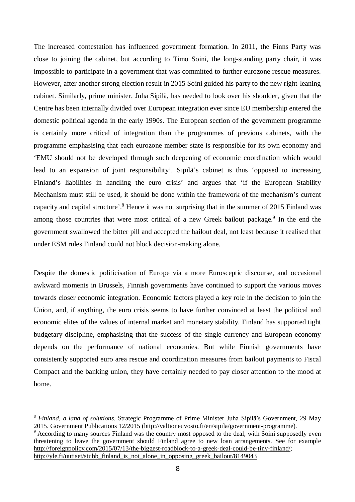The increased contestation has influenced government formation. In 2011, the Finns Party was close to joining the cabinet, but according to Timo Soini, the long-standing party chair, it was impossible to participate in a government that was committed to further eurozone rescue measures. However, after another strong election result in 2015 Soini guided his party to the new right-leaning cabinet. Similarly, prime minister, Juha Sipilä, has needed to look over his shoulder, given that the Centre has been internally divided over European integration ever since EU membership entered the domestic political agenda in the early 1990s. The European section of the government programme is certainly more critical of integration than the programmes of previous cabinets, with the programme emphasising that each eurozone member state is responsible for its own economy and 'EMU should not be developed through such deepening of economic coordination which would lead to an expansion of joint responsibility'. Sipilä's cabinet is thus 'opposed to increasing Finland's liabilities in handling the euro crisis' and argues that 'if the European Stability Mechanism must still be used, it should be done within the framework of the mechanism's current capacity and capital structure'.<sup>[8](#page-7-0)</sup> Hence it was not surprising that in the summer of 2015 Finland was among those countries that were most critical of a new Greek bailout package.<sup>[9](#page-7-1)</sup> In the end the government swallowed the bitter pill and accepted the bailout deal, not least because it realised that under ESM rules Finland could not block decision-making alone.

Despite the domestic politicisation of Europe via a more Eurosceptic discourse, and occasional awkward moments in Brussels, Finnish governments have continued to support the various moves towards closer economic integration. Economic factors played a key role in the decision to join the Union, and, if anything, the euro crisis seems to have further convinced at least the political and economic elites of the values of internal market and monetary stability. Finland has supported tight budgetary discipline, emphasising that the success of the single currency and European economy depends on the performance of national economies. But while Finnish governments have consistently supported euro area rescue and coordination measures from bailout payments to Fiscal Compact and the banking union, they have certainly needed to pay closer attention to the mood at home.

<span id="page-7-0"></span><sup>8</sup> *Finland, a land of solutions*. Strategic Programme of Prime Minister Juha Sipilä's Government, 29 May 2015. Government Publications 12/2015 (http://valtioneuvosto.fi/en/sipila/government-programme).

<span id="page-7-1"></span><sup>&</sup>lt;sup>9</sup> According to many sources Finland was the country most opposed to the deal, with Soini supposedly even threatening to leave the government should Finland agree to new loan arrangements. See for example [http://foreignpolicy.com/2015/07/13/the-biggest-roadblock-to-a-greek-deal-could-be-tiny-finland/;](http://foreignpolicy.com/2015/07/13/the-biggest-roadblock-to-a-greek-deal-could-be-tiny-finland/) [http://yle.fi/uutiset/stubb\\_finland\\_is\\_not\\_alone\\_in\\_opposing\\_greek\\_bailout/8149043](http://yle.fi/uutiset/stubb_finland_is_not_alone_in_opposing_greek_bailout/8149043)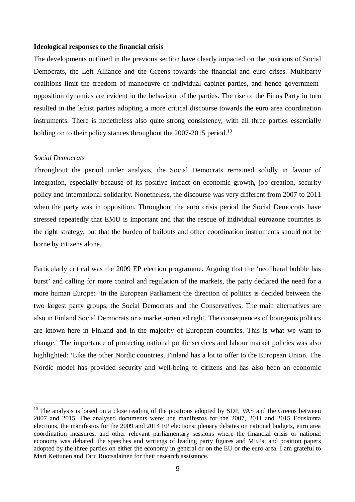## **Ideological responses to the financial crisis**

The developments outlined in the previous section have clearly impacted on the positions of Social Democrats, the Left Alliance and the Greens towards the financial and euro crises. Multiparty coalitions limit the freedom of manoeuvre of individual cabinet parties, and hence governmentopposition dynamics are evident in the behaviour of the parties. The rise of the Finns Party in turn resulted in the leftist parties adopting a more critical discourse towards the euro area coordination instruments. There is nonetheless also quite strong consistency, with all three parties essentially holding on to their policy stances throughout the 2007-2015 period.<sup>[10](#page-8-0)</sup>

# *Social Democrats*

Throughout the period under analysis, the Social Democrats remained solidly in favour of integration, especially because of its positive impact on economic growth, job creation, security policy and international solidarity. Nonetheless, the discourse was very different from 2007 to 2011 when the party was in opposition. Throughout the euro crisis period the Social Democrats have stressed repeatedly that EMU is important and that the rescue of individual eurozone countries is the right strategy, but that the burden of bailouts and other coordination instruments should not be borne by citizens alone.

Particularly critical was the 2009 EP election programme. Arguing that the 'neoliberal bubble has burst' and calling for more control and regulation of the markets, the party declared the need for a more human Europe: 'In the European Parliament the direction of politics is decided between the two largest party groups, the Social Democrats and the Conservatives. The main alternatives are also in Finland Social Democrats or a market-oriented right. The consequences of bourgeois politics are known here in Finland and in the majority of European countries. This is what we want to change.' The importance of protecting national public services and labour market policies was also highlighted: 'Like the other Nordic countries, Finland has a lot to offer to the European Union. The Nordic model has provided security and well-being to citizens and has also been an economic

<span id="page-8-0"></span> $10$  The analysis is based on a close reading of the positions adopted by SDP, VAS and the Greens between 2007 and 2015. The analysed documents were: the manifestos for the 2007, 2011 and 2015 Eduskunta elections, the manifestos for the 2009 and 2014 EP elections; plenary debates on national budgets, euro area coordination measures, and other relevant parliamentary sessions where the financial crisis or national economy was debated; the speeches and writings of leading party figures and MEPs; and position papers adopted by the three parties on either the economy in general or on the EU or the euro area. I am grateful to Mari Kettunen and Taru Ruotsalainen for their research assistance.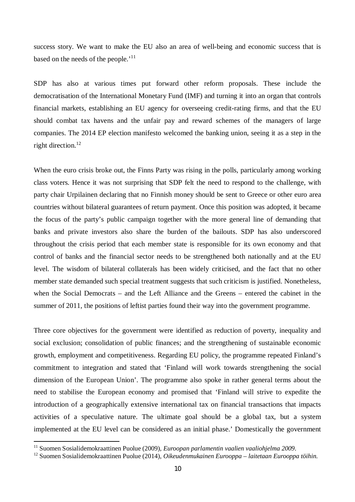success story. We want to make the EU also an area of well-being and economic success that is based on the needs of the people.<sup>'[11](#page-9-0)</sup>

SDP has also at various times put forward other reform proposals. These include the democratisation of the International Monetary Fund (IMF) and turning it into an organ that controls financial markets, establishing an EU agency for overseeing credit-rating firms, and that the EU should combat tax havens and the unfair pay and reward schemes of the managers of large companies. The 2014 EP election manifesto welcomed the banking union, seeing it as a step in the right direction.<sup>[12](#page-9-1)</sup>

When the euro crisis broke out, the Finns Party was rising in the polls, particularly among working class voters. Hence it was not surprising that SDP felt the need to respond to the challenge, with party chair Urpilainen declaring that no Finnish money should be sent to Greece or other euro area countries without bilateral guarantees of return payment. Once this position was adopted, it became the focus of the party's public campaign together with the more general line of demanding that banks and private investors also share the burden of the bailouts. SDP has also underscored throughout the crisis period that each member state is responsible for its own economy and that control of banks and the financial sector needs to be strengthened both nationally and at the EU level. The wisdom of bilateral collaterals has been widely criticised, and the fact that no other member state demanded such special treatment suggests that such criticism is justified. Nonetheless, when the Social Democrats – and the Left Alliance and the Greens – entered the cabinet in the summer of 2011, the positions of leftist parties found their way into the government programme.

Three core objectives for the government were identified as reduction of poverty, inequality and social exclusion; consolidation of public finances; and the strengthening of sustainable economic growth, employment and competitiveness. Regarding EU policy, the programme repeated Finland's commitment to integration and stated that 'Finland will work towards strengthening the social dimension of the European Union'. The programme also spoke in rather general terms about the need to stabilise the European economy and promised that 'Finland will strive to expedite the introduction of a geographically extensive international tax on financial transactions that impacts activities of a speculative nature. The ultimate goal should be a global tax, but a system implemented at the EU level can be considered as an initial phase.' Domestically the government

<span id="page-9-0"></span><sup>11</sup> Suomen Sosialidemokraattinen Puolue (2009), *Euroopan parlamentin vaalien vaaliohjelma 2009*.

<span id="page-9-1"></span><sup>12</sup> Suomen Sosialidemokraattinen Puolue (2014), *Oikeudenmukainen Eurooppa – laitetaan Eurooppa töihin*.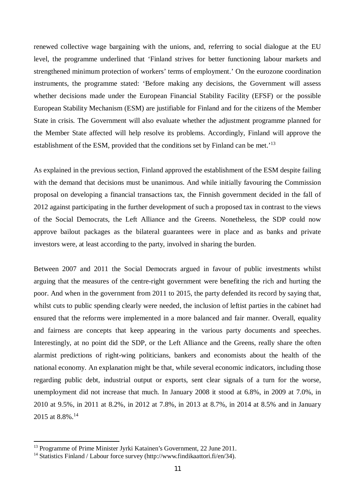renewed collective wage bargaining with the unions, and, referring to social dialogue at the EU level, the programme underlined that 'Finland strives for better functioning labour markets and strengthened minimum protection of workers' terms of employment.' On the eurozone coordination instruments, the programme stated: 'Before making any decisions, the Government will assess whether decisions made under the European Financial Stability Facility (EFSF) or the possible European Stability Mechanism (ESM) are justifiable for Finland and for the citizens of the Member State in crisis. The Government will also evaluate whether the adjustment programme planned for the Member State affected will help resolve its problems. Accordingly, Finland will approve the establishment of the ESM, provided that the conditions set by Finland can be met.'[13](#page-10-0)

As explained in the previous section, Finland approved the establishment of the ESM despite failing with the demand that decisions must be unanimous. And while initially favouring the Commission proposal on developing a financial transactions tax, the Finnish government decided in the fall of 2012 against participating in the further development of such a proposed tax in contrast to the views of the Social Democrats, the Left Alliance and the Greens. Nonetheless, the SDP could now approve bailout packages as the bilateral guarantees were in place and as banks and private investors were, at least according to the party, involved in sharing the burden.

Between 2007 and 2011 the Social Democrats argued in favour of public investments whilst arguing that the measures of the centre-right government were benefiting the rich and hurting the poor. And when in the government from 2011 to 2015, the party defended its record by saying that, whilst cuts to public spending clearly were needed, the inclusion of leftist parties in the cabinet had ensured that the reforms were implemented in a more balanced and fair manner. Overall, equality and fairness are concepts that keep appearing in the various party documents and speeches. Interestingly, at no point did the SDP, or the Left Alliance and the Greens, really share the often alarmist predictions of right-wing politicians, bankers and economists about the health of the national economy. An explanation might be that, while several economic indicators, including those regarding public debt, industrial output or exports, sent clear signals of a turn for the worse, unemployment did not increase that much. In January 2008 it stood at 6.8%, in 2009 at 7.0%, in 2010 at 9.5%, in 2011 at 8.2%, in 2012 at 7.8%, in 2013 at 8.7%, in 2014 at 8.5% and in January 2015 at 8.8%.<sup>[14](#page-10-1)</sup>

<span id="page-10-0"></span><sup>&</sup>lt;sup>13</sup> Programme of Prime Minister Jyrki Katainen's Government, 22 June 2011.

<span id="page-10-1"></span><sup>&</sup>lt;sup>14</sup> Statistics Finland / Labour force survey (http://www.findikaattori.fi/en/34).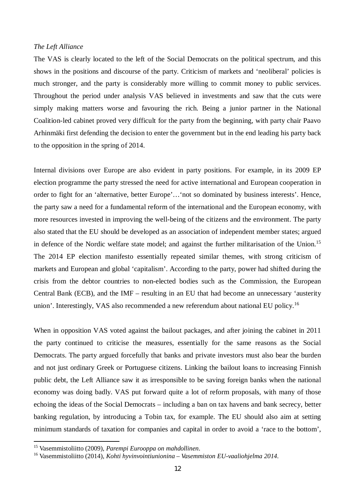#### *The Left Alliance*

The VAS is clearly located to the left of the Social Democrats on the political spectrum, and this shows in the positions and discourse of the party. Criticism of markets and 'neoliberal' policies is much stronger, and the party is considerably more willing to commit money to public services. Throughout the period under analysis VAS believed in investments and saw that the cuts were simply making matters worse and favouring the rich. Being a junior partner in the National Coalition-led cabinet proved very difficult for the party from the beginning, with party chair Paavo Arhinmäki first defending the decision to enter the government but in the end leading his party back to the opposition in the spring of 2014.

Internal divisions over Europe are also evident in party positions. For example, in its 2009 EP election programme the party stressed the need for active international and European cooperation in order to fight for an 'alternative, better Europe'…'not so dominated by business interests'. Hence, the party saw a need for a fundamental reform of the international and the European economy, with more resources invested in improving the well-being of the citizens and the environment. The party also stated that the EU should be developed as an association of independent member states; argued in defence of the Nordic welfare state model; and against the further militarisation of the Union.<sup>[15](#page-11-0)</sup> The 2014 EP election manifesto essentially repeated similar themes, with strong criticism of markets and European and global 'capitalism'. According to the party, power had shifted during the crisis from the debtor countries to non-elected bodies such as the Commission, the European Central Bank (ECB), and the IMF – resulting in an EU that had become an unnecessary 'austerity union'. Interestingly, VAS also recommended a new referendum about national EU policy.<sup>[16](#page-11-1)</sup>

When in opposition VAS voted against the bailout packages, and after joining the cabinet in 2011 the party continued to criticise the measures, essentially for the same reasons as the Social Democrats. The party argued forcefully that banks and private investors must also bear the burden and not just ordinary Greek or Portuguese citizens. Linking the bailout loans to increasing Finnish public debt, the Left Alliance saw it as irresponsible to be saving foreign banks when the national economy was doing badly. VAS put forward quite a lot of reform proposals, with many of those echoing the ideas of the Social Democrats – including a ban on tax havens and bank secrecy, better banking regulation, by introducing a Tobin tax, for example. The EU should also aim at setting minimum standards of taxation for companies and capital in order to avoid a 'race to the bottom',

<span id="page-11-0"></span><sup>15</sup> Vasemmistoliitto (2009), *Parempi Eurooppa on mahdollinen*.

<span id="page-11-1"></span><sup>16</sup> Vasemmistoliitto (2014), *Kohti hyvinvointiunionina – Vasemmiston EU-vaaliohjelma 2014*.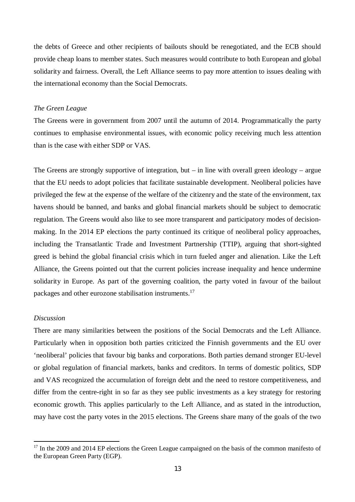the debts of Greece and other recipients of bailouts should be renegotiated, and the ECB should provide cheap loans to member states. Such measures would contribute to both European and global solidarity and fairness. Overall, the Left Alliance seems to pay more attention to issues dealing with the international economy than the Social Democrats.

# *The Green League*

The Greens were in government from 2007 until the autumn of 2014. Programmatically the party continues to emphasise environmental issues, with economic policy receiving much less attention than is the case with either SDP or VAS.

The Greens are strongly supportive of integration, but – in line with overall green ideology – argue that the EU needs to adopt policies that facilitate sustainable development. Neoliberal policies have privileged the few at the expense of the welfare of the citizenry and the state of the environment, tax havens should be banned, and banks and global financial markets should be subject to democratic regulation. The Greens would also like to see more transparent and participatory modes of decisionmaking. In the 2014 EP elections the party continued its critique of neoliberal policy approaches, including the Transatlantic Trade and Investment Partnership (TTIP), arguing that short-sighted greed is behind the global financial crisis which in turn fueled anger and alienation. Like the Left Alliance, the Greens pointed out that the current policies increase inequality and hence undermine solidarity in Europe. As part of the governing coalition, the party voted in favour of the bailout packages and other eurozone stabilisation instruments.[17](#page-12-0)

## *Discussion*

There are many similarities between the positions of the Social Democrats and the Left Alliance. Particularly when in opposition both parties criticized the Finnish governments and the EU over 'neoliberal' policies that favour big banks and corporations. Both parties demand stronger EU-level or global regulation of financial markets, banks and creditors. In terms of domestic politics, SDP and VAS recognized the accumulation of foreign debt and the need to restore competitiveness, and differ from the centre-right in so far as they see public investments as a key strategy for restoring economic growth. This applies particularly to the Left Alliance, and as stated in the introduction, may have cost the party votes in the 2015 elections. The Greens share many of the goals of the two

<span id="page-12-0"></span><sup>&</sup>lt;sup>17</sup> In the 2009 and 2014 EP elections the Green League campaigned on the basis of the common manifesto of the European Green Party (EGP).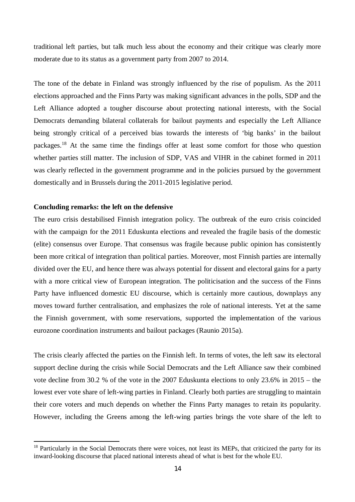traditional left parties, but talk much less about the economy and their critique was clearly more moderate due to its status as a government party from 2007 to 2014.

The tone of the debate in Finland was strongly influenced by the rise of populism. As the 2011 elections approached and the Finns Party was making significant advances in the polls, SDP and the Left Alliance adopted a tougher discourse about protecting national interests, with the Social Democrats demanding bilateral collaterals for bailout payments and especially the Left Alliance being strongly critical of a perceived bias towards the interests of 'big banks' in the bailout packages.[18](#page-13-0) At the same time the findings offer at least some comfort for those who question whether parties still matter. The inclusion of SDP, VAS and VIHR in the cabinet formed in 2011 was clearly reflected in the government programme and in the policies pursued by the government domestically and in Brussels during the 2011-2015 legislative period.

#### **Concluding remarks: the left on the defensive**

The euro crisis destabilised Finnish integration policy. The outbreak of the euro crisis coincided with the campaign for the 2011 Eduskunta elections and revealed the fragile basis of the domestic (elite) consensus over Europe. That consensus was fragile because public opinion has consistently been more critical of integration than political parties. Moreover, most Finnish parties are internally divided over the EU, and hence there was always potential for dissent and electoral gains for a party with a more critical view of European integration. The politicisation and the success of the Finns Party have influenced domestic EU discourse, which is certainly more cautious, downplays any moves toward further centralisation, and emphasizes the role of national interests. Yet at the same the Finnish government, with some reservations, supported the implementation of the various eurozone coordination instruments and bailout packages (Raunio 2015a).

The crisis clearly affected the parties on the Finnish left. In terms of votes, the left saw its electoral support decline during the crisis while Social Democrats and the Left Alliance saw their combined vote decline from 30.2 % of the vote in the 2007 Eduskunta elections to only 23.6% in 2015 – the lowest ever vote share of left-wing parties in Finland. Clearly both parties are struggling to maintain their core voters and much depends on whether the Finns Party manages to retain its popularity. However, including the Greens among the left-wing parties brings the vote share of the left to

<span id="page-13-0"></span><sup>&</sup>lt;sup>18</sup> Particularly in the Social Democrats there were voices, not least its MEPs, that criticized the party for its inward-looking discourse that placed national interests ahead of what is best for the whole EU.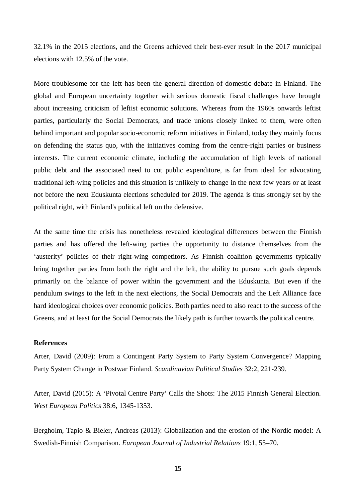32.1% in the 2015 elections, and the Greens achieved their best-ever result in the 2017 municipal elections with 12.5% of the vote.

More troublesome for the left has been the general direction of domestic debate in Finland. The global and European uncertainty together with serious domestic fiscal challenges have brought about increasing criticism of leftist economic solutions. Whereas from the 1960s onwards leftist parties, particularly the Social Democrats, and trade unions closely linked to them, were often behind important and popular socio-economic reform initiatives in Finland, today they mainly focus on defending the status quo, with the initiatives coming from the centre-right parties or business interests. The current economic climate, including the accumulation of high levels of national public debt and the associated need to cut public expenditure, is far from ideal for advocating traditional left-wing policies and this situation is unlikely to change in the next few years or at least not before the next Eduskunta elections scheduled for 2019. The agenda is thus strongly set by the political right, with Finland's political left on the defensive.

At the same time the crisis has nonetheless revealed ideological differences between the Finnish parties and has offered the left-wing parties the opportunity to distance themselves from the 'austerity' policies of their right-wing competitors. As Finnish coalition governments typically bring together parties from both the right and the left, the ability to pursue such goals depends primarily on the balance of power within the government and the Eduskunta. But even if the pendulum swings to the left in the next elections, the Social Democrats and the Left Alliance face hard ideological choices over economic policies. Both parties need to also react to the success of the Greens, and at least for the Social Democrats the likely path is further towards the political centre.

# **References**

Arter, David (2009): From a Contingent Party System to Party System Convergence? Mapping Party System Change in Postwar Finland. *Scandinavian Political Studies* 32:2, 221-239.

Arter, David (2015): A 'Pivotal Centre Party' Calls the Shots: The 2015 Finnish General Election. *West European Politics* 38:6, 1345-1353.

Bergholm, Tapio & Bieler, Andreas (2013): Globalization and the erosion of the Nordic model: A Swedish-Finnish Comparison. *European Journal of Industrial Relations* 19:1, 55**–**70.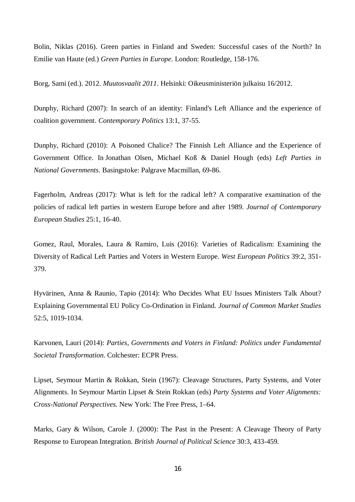Bolin, Niklas (2016). [Green parties in Finland and Sweden](http://urn.kb.se/resolve?urn=urn:nbn:se:miun:diva-27750): Successful cases of the North? In Emilie van Haute (ed.) *Green Parties in Europe*. London: Routledge, 158-176.

Borg, Sami (ed.). 2012. *Muutosvaalit 2011*. Helsinki: Oikeusministeriön julkaisu 16/2012.

Dunphy, Richard (2007): In search of an identity: Finland's Left Alliance and the experience of coalition government. *Contemporary Politics* 13:1, 37-55.

Dunphy, Richard (2010): A Poisoned Chalice? The Finnish Left Alliance and the Experience of Government Office. In Jonathan Olsen, Michael Koß & Daniel Hough (eds) *Left Parties in National Governments*. Basingstoke: Palgrave Macmillan, 69-86.

Fagerholm, Andreas (2017): What is left for the radical left? A comparative examination of the policies of radical left parties in western Europe before and after 1989. *Journal of Contemporary European Studies* 25:1, 16-40.

Gomez, Raul, Morales, Laura & Ramiro, Luis (2016): Varieties of Radicalism: Examining the Diversity of Radical Left Parties and Voters in Western Europe. *West European Politics* 39:2, 351- 379.

Hyvärinen, Anna & Raunio, Tapio (2014): Who Decides What EU Issues Ministers Talk About? Explaining Governmental EU Policy Co-Ordination in Finland. *Journal of Common Market Studies* 52:5, 1019-1034.

Karvonen, Lauri (2014): *Parties, Governments and Voters in Finland: Politics under Fundamental Societal Transformation*. Colchester: ECPR Press.

Lipset, Seymour Martin & Rokkan, Stein (1967): Cleavage Structures, Party Systems, and Voter Alignments. In Seymour Martin Lipset & Stein Rokkan (eds) *Party Systems and Voter Alignments: Cross-National Perspectives*. New York: The Free Press, 1–64.

Marks, Gary & Wilson, Carole J. (2000): The Past in the Present: A Cleavage Theory of Party Response to European Integration. *British Journal of Political Science* 30:3, 433-459.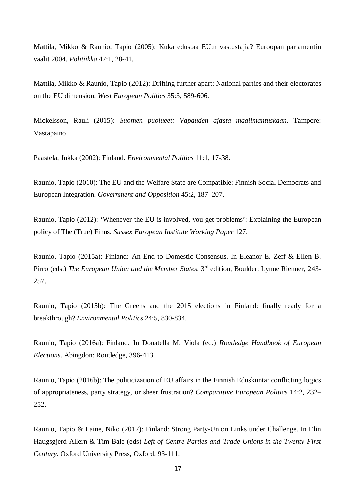Mattila, Mikko & Raunio, Tapio (2005): Kuka edustaa EU:n vastustajia? Euroopan parlamentin vaalit 2004. *Politiikka* 47:1, 28-41.

Mattila, Mikko & Raunio, Tapio (2012): Drifting further apart: National parties and their electorates on the EU dimension. *West European Politics* 35:3, 589-606.

Mickelsson, Rauli (2015): *Suomen puolueet: Vapauden ajasta maailmantuskaan*. Tampere: Vastapaino.

Paastela, Jukka (2002): Finland. *Environmental Politics* 11:1, 17-38.

Raunio, Tapio (2010): The EU and the Welfare State are Compatible: Finnish Social Democrats and European Integration. *Government and Opposition* 45:2, 187–207.

Raunio, Tapio (2012): 'Whenever the EU is involved, you get problems': Explaining the European policy of The (True) Finns. *Sussex European Institute Working Paper* 127.

Raunio, Tapio (2015a): Finland: An End to Domestic Consensus. In Eleanor E. Zeff & Ellen B. Pirro (eds.) *The European Union and the Member States*. 3<sup>rd</sup> edition, Boulder: Lynne Rienner, 243-257.

Raunio, Tapio (2015b): The Greens and the 2015 elections in Finland: finally ready for a breakthrough? *Environmental Politics* 24:5, 830-834.

Raunio, Tapio (2016a): Finland. In Donatella M. Viola (ed.) *Routledge Handbook of European Elections*. Abingdon: Routledge, 396-413.

Raunio, Tapio (2016b): The politicization of EU affairs in the Finnish Eduskunta: conflicting logics of appropriateness, party strategy, or sheer frustration? *Comparative European Politics* 14:2, 232– 252.

Raunio, Tapio & Laine, Niko (2017): Finland: Strong Party-Union Links under Challenge. In Elin Haugsgjerd Allern & Tim Bale (eds) *Left-of-Centre Parties and Trade Unions in the Twenty-First Century*. Oxford University Press, Oxford, 93-111.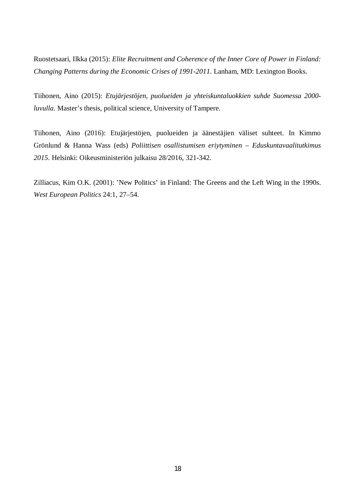Ruostetsaari, Ilkka (2015): *Elite Recruitment and Coherence of the Inner Core of Power in Finland: Changing Patterns during the Economic Crises of 1991-2011*. Lanham, MD: Lexington Books.

Tiihonen, Aino (2015): *Etujärjestöjen, puolueiden ja yhteiskuntaluokkien suhde Suomessa 2000 luvulla*. Master's thesis, political science, University of Tampere.

Tiihonen, Aino (2016): Etujärjestöjen, puolueiden ja äänestäjien väliset suhteet. In Kimmo Grönlund & Hanna Wass (eds) *Poliittisen osallistumisen eriytyminen – Eduskuntavaalitutkimus 2015*. Helsinki: Oikeusministeriön julkaisu 28/2016, 321-342.

Zilliacus, Kim O.K. (2001): 'New Politics' in Finland: The Greens and the Left Wing in the 1990s. *West European Politics* 24:1, 27–54.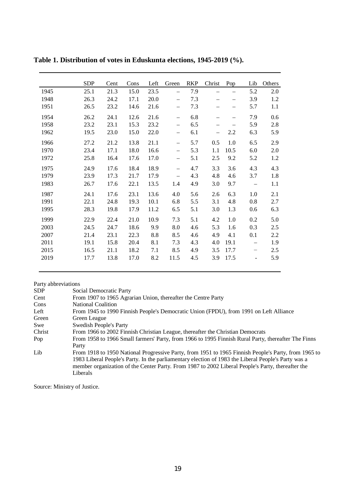|      | <b>SDP</b> | Cent | Cons | Left | Green                    | <b>RKP</b> | Christ                   | Pop                      | Lib                          | Others |
|------|------------|------|------|------|--------------------------|------------|--------------------------|--------------------------|------------------------------|--------|
| 1945 | 25.1       | 21.3 | 15.0 | 23.5 | $\overline{\phantom{0}}$ | 7.9        | $\overline{\phantom{0}}$ |                          | 5.2                          | 2.0    |
| 1948 | 26.3       | 24.2 | 17.1 | 20.0 | —                        | 7.3        |                          | $\overline{\phantom{0}}$ | 3.9                          | 1.2    |
| 1951 | 26.5       | 23.2 | 14.6 | 21.6 | $\qquad \qquad -$        | 7.3        | —                        | $\overline{\phantom{0}}$ | 5.7                          | 1.1    |
| 1954 | 26.2       | 24.1 | 12.6 | 21.6 | $\qquad \qquad -$        | 6.8        | $\overline{\phantom{0}}$ | $\overline{\phantom{0}}$ | 7.9                          | 0.6    |
| 1958 | 23.2       | 23.1 | 15.3 | 23.2 | $\overline{\phantom{m}}$ | 6.5        | —                        | -                        | 5.9                          | 2.8    |
| 1962 | 19.5       | 23.0 | 15.0 | 22.0 | $\qquad \qquad -$        | 6.1        | $\qquad \qquad -$        | 2.2                      | 6.3                          | 5.9    |
| 1966 | 27.2       | 21.2 | 13.8 | 21.1 | $\overline{\phantom{m}}$ | 5.7        | 0.5                      | 1.0                      | 6.5                          | 2.9    |
| 1970 | 23.4       | 17.1 | 18.0 | 16.6 | $\overline{\phantom{0}}$ | 5.3        | 1.1                      | 10.5                     | 6.0                          | 2.0    |
| 1972 | 25.8       | 16.4 | 17.6 | 17.0 | $\overline{\phantom{0}}$ | 5.1        | 2.5                      | 9.2                      | 5.2                          | 1.2    |
| 1975 | 24.9       | 17.6 | 18.4 | 18.9 | $\overline{\phantom{0}}$ | 4.7        | 3.3                      | 3.6                      | 4.3                          | 4.3    |
| 1979 | 23.9       | 17.3 | 21.7 | 17.9 | $\overline{\phantom{m}}$ | 4.3        | 4.8                      | 4.6                      | 3.7                          | 1.8    |
| 1983 | 26.7       | 17.6 | 22.1 | 13.5 | 1.4                      | 4.9        | 3.0                      | 9.7                      |                              | 1.1    |
| 1987 | 24.1       | 17.6 | 23.1 | 13.6 | 4.0                      | 5.6        | 2.6                      | 6.3                      | 1.0                          | 2.1    |
| 1991 | 22.1       | 24.8 | 19.3 | 10.1 | 6.8                      | 5.5        | 3.1                      | 4.8                      | 0.8                          | 2.7    |
| 1995 | 28.3       | 19.8 | 17.9 | 11.2 | 6.5                      | 5.1        | 3.0                      | 1.3                      | 0.6                          | 6.3    |
| 1999 | 22.9       | 22.4 | 21.0 | 10.9 | 7.3                      | 5.1        | 4.2                      | 1.0                      | 0.2                          | 5.0    |
| 2003 | 24.5       | 24.7 | 18.6 | 9.9  | 8.0                      | 4.6        | 5.3                      | 1.6                      | 0.3                          | 2.5    |
| 2007 | 21.4       | 23.1 | 22.3 | 8.8  | 8.5                      | 4.6        | 4.9                      | 4.1                      | 0.1                          | 2.2    |
| 2011 | 19.1       | 15.8 | 20.4 | 8.1  | 7.3                      | 4.3        | 4.0                      | 19.1                     | $\overline{\phantom{0}}$     | 1.9    |
| 2015 | 16.5       | 21.1 | 18.2 | 7.1  | 8.5                      | 4.9        | 3.5                      | 17.7                     | —                            | 2.5    |
| 2019 | 17.7       | 13.8 | 17.0 | 8.2  | 11.5                     | 4.5        | 3.9                      | 17.5                     | $\qquad \qquad \blacksquare$ | 5.9    |

**Table 1. Distribution of votes in Eduskunta elections, 1945-2019 (%).**

Party abbreviations

| Social Democratic Party                                                                              |
|------------------------------------------------------------------------------------------------------|
| From 1907 to 1965 Agrarian Union, thereafter the Centre Party                                        |
| <b>National Coalition</b>                                                                            |
| From 1945 to 1990 Finnish People's Democratic Union (FPDU), from 1991 on Left Alliance               |
| Green League                                                                                         |
| <b>Swedish People's Party</b>                                                                        |
| From 1966 to 2002 Finnish Christian League, thereafter the Christian Democrats                       |
| From 1958 to 1966 Small farmers' Party, from 1966 to 1995 Finnish Rural Party, thereafter The Finns  |
| Party                                                                                                |
| From 1918 to 1950 National Progressive Party, from 1951 to 1965 Finnish People's Party, from 1965 to |
| 1983 Liberal People's Party. In the parliamentary election of 1983 the Liberal People's Party was a  |
| member organization of the Center Party. From 1987 to 2002 Liberal People's Party, thereafter the    |
| Liberals                                                                                             |
|                                                                                                      |

Source: Ministry of Justice.